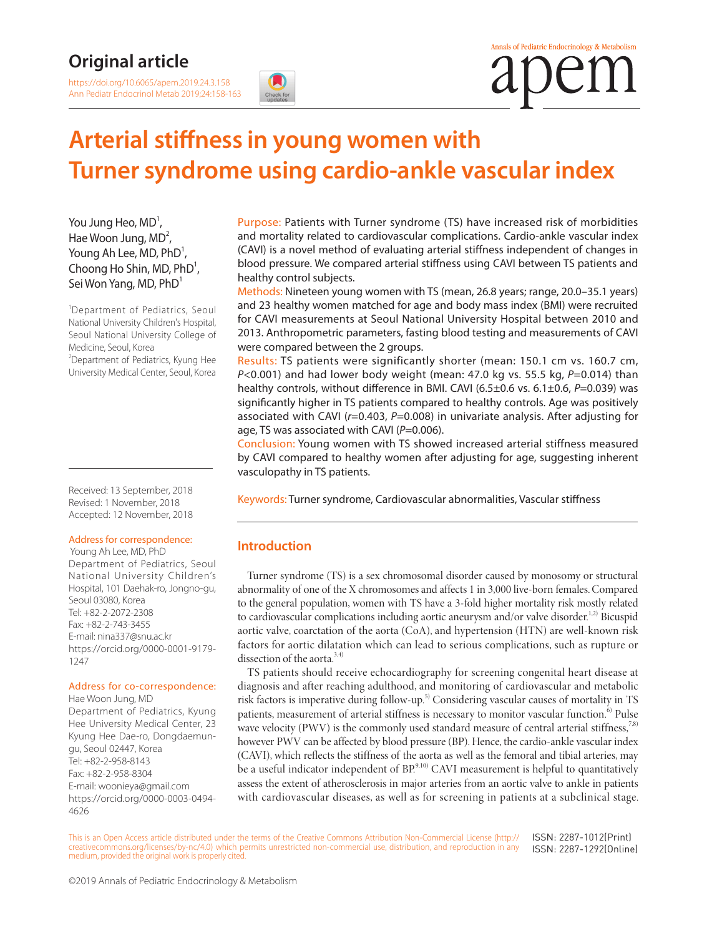### **Original article**

<https://doi.org/10.6065/apem.2019.24.3.158> Ann Pediatr Endocrinol Metab 2019;24:158-163

# **Arterial stiffness in young women with Turner syndrome using cardio-ankle vascular index**

You Jung Heo,  $MD<sup>1</sup>$ , Hae Woon Jung,  $MD<sup>2</sup>$ , Young Ah Lee, MD,  $\mathsf{PhD}^1$ , Choong Ho Shin, MD,  $PhD^1$ , Sei Won Yang, MD, PhD<sup>1</sup>

1 Department of Pediatrics, Seoul National University Children's Hospital, Seoul National University College of Medicine, Seoul, Korea <sup>2</sup>Department of Pediatrics, Kyung Hee University Medical Center, Seoul, Korea

Received: 13 September, 2018 Revised: 1 November, 2018 Accepted: 12 November, 2018

#### Address for correspondence:

 Young Ah Lee, MD, PhD Department of Pediatrics, Seoul National University Children's Hospital, 101 Daehak-ro, Jongno-gu, Seoul 03080, Korea Tel: +82-2-2072-2308 Fax: +82-2-743-3455 E-mail: nina337@snu.ac.kr [https://orcid.org/0000-0001-9179-](https://orcid.org/0000-0001-9179-1247) [1247](https://orcid.org/0000-0001-9179-1247)

#### Address for co-correspondence:

Hae Woon Jung, MD Department of Pediatrics, Kyung Hee University Medical Center, 23 Kyung Hee Dae-ro, Dongdaemungu, Seoul 02447, Korea Tel: +82-2-958-8143 Fax: +82-2-958-8304 E-mail: woonieya@gmail.com [https://orcid.org/0000-0003-0494-](https://orcid.org/0000-0003-0494-4626) [4626](https://orcid.org/0000-0003-0494-4626)

Purpose: Patients with Turner syndrome (TS) have increased risk of morbidities and mortality related to cardiovascular complications. Cardio-ankle vascular index (CAVI) is a novel method of evaluating arterial stiffness independent of changes in blood pressure. We compared arterial stiffness using CAVI between TS patients and healthy control subjects.

Methods: Nineteen young women with TS (mean, 26.8 years; range, 20.0–35.1 years) and 23 healthy women matched for age and body mass index (BMI) were recruited for CAVI measurements at Seoul National University Hospital between 2010 and 2013. Anthropometric parameters, fasting blood testing and measurements of CAVI were compared between the 2 groups.

Results: TS patients were significantly shorter (mean: 150.1 cm vs. 160.7 cm, *P*<0.001) and had lower body weight (mean: 47.0 kg vs. 55.5 kg, *P*=0.014) than healthy controls, without difference in BMI. CAVI (6.5±0.6 vs. 6.1±0.6, *P*=0.039) was significantly higher in TS patients compared to healthy controls. Age was positively associated with CAVI (*r*=0.403, *P*=0.008) in univariate analysis. After adjusting for age, TS was associated with CAVI (P=0.006).

Conclusion: Young women with TS showed increased arterial stiffness measured by CAVI compared to healthy women after adjusting for age, suggesting inherent vasculopathy in TS patients.

Keywords: Turner syndrome, Cardiovascular abnormalities, Vascular stiffness

### **Introduction**

Turner syndrome (TS) is a sex chromosomal disorder caused by monosomy or structural abnormality of one of the X chromosomes and affects 1 in 3,000 live-born females. Compared to the general population, women with TS have a 3-fold higher mortality risk mostly related to cardiovascular complications including aortic aneurysm and/or valve disorder.<sup>1,2)</sup> Bicuspid aortic valve, coarctation of the aorta (CoA), and hypertension (HTN) are well-known risk factors for aortic dilatation which can lead to serious complications, such as rupture or dissection of the aorta. $3,4$ )

TS patients should receive echocardiography for screening congenital heart disease at diagnosis and after reaching adulthood, and monitoring of cardiovascular and metabolic risk factors is imperative during follow-up.<sup>5)</sup> Considering vascular causes of mortality in TS patients, measurement of arterial stiffness is necessary to monitor vascular function.<sup>6)</sup> Pulse wave velocity (PWV) is the commonly used standard measure of central arterial stiffness,<sup>7,8)</sup> however PWV can be affected by blood pressure (BP). Hence, the cardio-ankle vascular index (CAVI), which reflects the stiffness of the aorta as well as the femoral and tibial arteries, may be a useful indicator independent of BP.<sup>9,10)</sup> CAVI measurement is helpful to quantitatively assess the extent of atherosclerosis in major arteries from an aortic valve to ankle in patients with cardiovascular diseases, as well as for screening in patients at a subclinical stage.

This is an Open Access article distributed under the terms of the Creative Commons Attribution Non-Commercial License [\(http://](http://creativecommons.org/licenses/by-nc/4.0) [creativecommons.org/licenses/by-nc/4.0](http://creativecommons.org/licenses/by-nc/4.0)) which permits unrestricted non-commercial use, distribution, and reproduction in any medium, provided the original work is properly cited. ISSN: 2287-1012(Print) ISSN: 2287-1292(Online)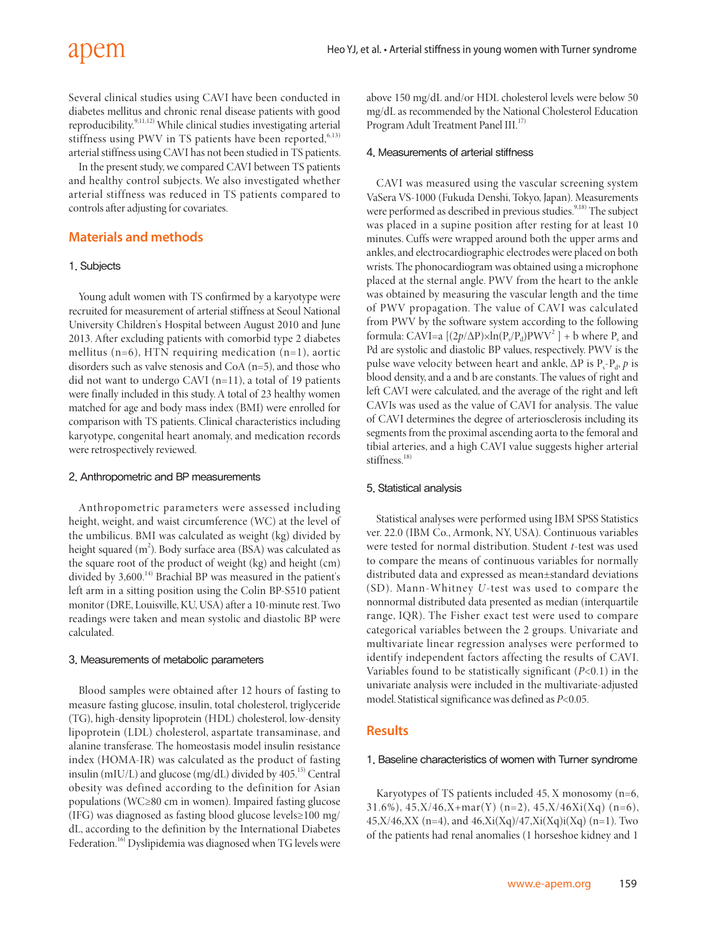## apem

Several clinical studies using CAVI have been conducted in diabetes mellitus and chronic renal disease patients with good reproducibility.<sup>9,11,12)</sup> While clinical studies investigating arterial stiffness using PWV in TS patients have been reported, $6,13$ ) arterial stiffness using CAVI has not been studied in TS patients.

In the present study, we compared CAVI between TS patients and healthy control subjects. We also investigated whether arterial stiffness was reduced in TS patients compared to controls after adjusting for covariates.

#### **Materials and methods**

#### 1. Subjects

Young adult women with TS confirmed by a karyotype were recruited for measurement of arterial stiffness at Seoul National University Children's Hospital between August 2010 and June 2013. After excluding patients with comorbid type 2 diabetes mellitus (n=6), HTN requiring medication (n=1), aortic disorders such as valve stenosis and CoA (n=5), and those who did not want to undergo CAVI (n=11), a total of 19 patients were finally included in this study. A total of 23 healthy women matched for age and body mass index (BMI) were enrolled for comparison with TS patients. Clinical characteristics including karyotype, congenital heart anomaly, and medication records were retrospectively reviewed.

#### 2. Anthropometric and BP measurements

Anthropometric parameters were assessed including height, weight, and waist circumference (WC) at the level of the umbilicus. BMI was calculated as weight (kg) divided by height squared (m<sup>2</sup>). Body surface area (BSA) was calculated as the square root of the product of weight (kg) and height (cm) divided by 3,600.<sup>14)</sup> Brachial BP was measured in the patient's left arm in a sitting position using the Colin BP-S510 patient monitor (DRE, Louisville, KU, USA) after a 10-minute rest. Two readings were taken and mean systolic and diastolic BP were calculated.

#### 3. Measurements of metabolic parameters

Blood samples were obtained after 12 hours of fasting to measure fasting glucose, insulin, total cholesterol, triglyceride (TG), high-density lipoprotein (HDL) cholesterol, low-density lipoprotein (LDL) cholesterol, aspartate transaminase, and alanine transferase. The homeostasis model insulin resistance index (HOMA-IR) was calculated as the product of fasting insulin (mIU/L) and glucose (mg/dL) divided by  $405$ .<sup>15)</sup> Central obesity was defined according to the definition for Asian populations (WC≥80 cm in women). Impaired fasting glucose (IFG) was diagnosed as fasting blood glucose levels≥100 mg/ dL, according to the definition by the International Diabetes Federation.<sup>16)</sup> Dyslipidemia was diagnosed when TG levels were

above 150 mg/dL and/or HDL cholesterol levels were below 50 mg/dL as recommended by the National Cholesterol Education Program Adult Treatment Panel III.<sup>17)</sup>

#### 4. Measurements of arterial stiffness

CAVI was measured using the vascular screening system VaSera VS-1000 (Fukuda Denshi, Tokyo, Japan). Measurements were performed as described in previous studies.<sup>9,18)</sup> The subject was placed in a supine position after resting for at least 10 minutes. Cuffs were wrapped around both the upper arms and ankles, and electrocardiographic electrodes were placed on both wrists. The phonocardiogram was obtained using a microphone placed at the sternal angle. PWV from the heart to the ankle was obtained by measuring the vascular length and the time of PWV propagation. The value of CAVI was calculated from PWV by the software system according to the following formula: CAVI=a  $[(2p/\Delta P)\times ln(P_s/P_d)PWV^2] + b$  where  $P_s$  and Pd are systolic and diastolic BP values, respectively. PWV is the pulse wave velocity between heart and ankle,  $\Delta P$  is  $P_s - P_d$ , *p* is blood density, and a and b are constants. The values of right and left CAVI were calculated, and the average of the right and left CAVIs was used as the value of CAVI for analysis. The value of CAVI determines the degree of arteriosclerosis including its segments from the proximal ascending aorta to the femoral and tibial arteries, and a high CAVI value suggests higher arterial stiffness $^{18)}$ 

#### 5. Statistical analysis

Statistical analyses were performed using IBM SPSS Statistics ver. 22.0 (IBM Co., Armonk, NY, USA). Continuous variables were tested for normal distribution. Student *t*-test was used to compare the means of continuous variables for normally distributed data and expressed as mean±standard deviations (SD). Mann-Whitney *U*-test was used to compare the nonnormal distributed data presented as median (interquartile range, IQR). The Fisher exact test were used to compare categorical variables between the 2 groups. Univariate and multivariate linear regression analyses were performed to identify independent factors affecting the results of CAVI. Variables found to be statistically significant (*P*<0.1) in the univariate analysis were included in the multivariate-adjusted model. Statistical significance was defined as *P*<0.05.

#### **Results**

#### 1. Baseline characteristics of women with Turner syndrome

Karyotypes of TS patients included 45, X monosomy (n=6, 31.6%),  $45, X/46, X + mar(Y)$  (n=2),  $45, X/46Xi(Xq)$  (n=6), 45,X/46,XX (n=4), and  $46$ ,Xi(Xq)/47,Xi(Xq)i(Xq) (n=1). Two of the patients had renal anomalies (1 horseshoe kidney and 1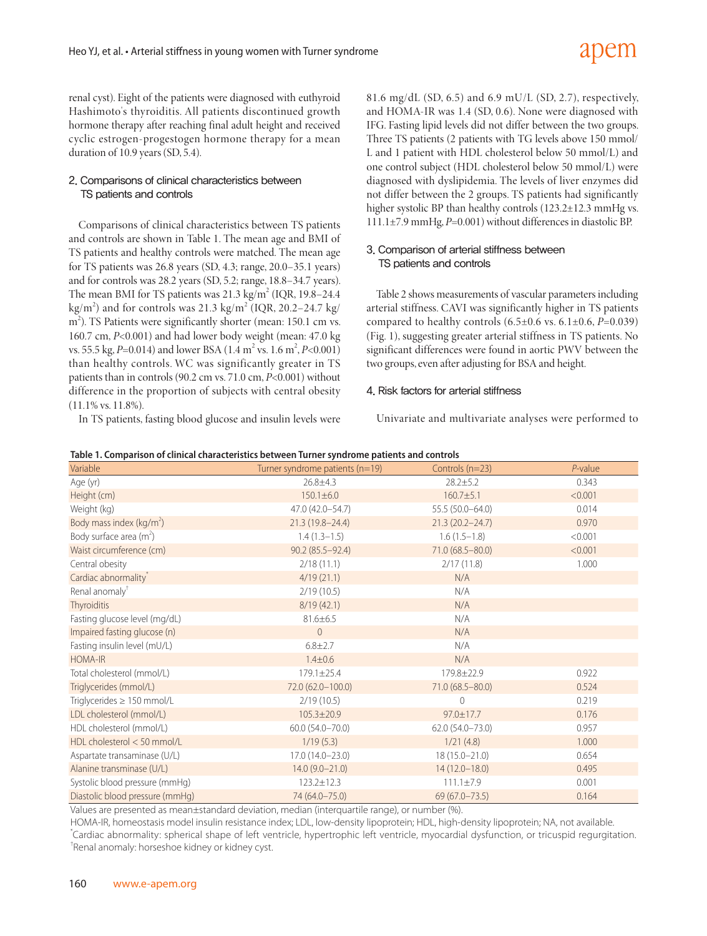renal cyst). Eight of the patients were diagnosed with euthyroid Hashimoto's thyroiditis. All patients discontinued growth hormone therapy after reaching final adult height and received cyclic estrogen-progestogen hormone therapy for a mean duration of 10.9 years (SD, 5.4).

#### 2. Comparisons of clinical characteristics between TS patients and controls

Comparisons of clinical characteristics between TS patients and controls are shown in Table 1. The mean age and BMI of TS patients and healthy controls were matched. The mean age for TS patients was 26.8 years (SD, 4.3; range, 20.0–35.1 years) and for controls was 28.2 years (SD, 5.2; range, 18.8–34.7 years). The mean BMI for TS patients was  $21.3 \text{ kg/m}^2$  (IQR, 19.8-24.4) kg/m<sup>2</sup>) and for controls was 21.3 kg/m<sup>2</sup> (IQR, 20.2–24.7 kg/ m<sup>2</sup>). TS Patients were significantly shorter (mean: 150.1 cm vs. 160.7 cm, *P*<0.001) and had lower body weight (mean: 47.0 kg vs. 55.5 kg, *P*=0.014) and lower BSA (1.4 m<sup>2</sup> vs. 1.6 m<sup>2</sup>, *P*<0.001) than healthy controls. WC was significantly greater in TS patients than in controls (90.2 cm vs. 71.0 cm, *P*<0.001) without difference in the proportion of subjects with central obesity (11.1% vs. 11.8%).

In TS patients, fasting blood glucose and insulin levels were

81.6 mg/dL (SD, 6.5) and 6.9 mU/L (SD, 2.7), respectively, and HOMA-IR was 1.4 (SD, 0.6). None were diagnosed with IFG. Fasting lipid levels did not differ between the two groups. Three TS patients (2 patients with TG levels above 150 mmol/ L and 1 patient with HDL cholesterol below 50 mmol/L) and one control subject (HDL cholesterol below 50 mmol/L) were diagnosed with dyslipidemia. The levels of liver enzymes did not differ between the 2 groups. TS patients had significantly higher systolic BP than healthy controls (123.2±12.3 mmHg vs. 111.1±7.9 mmHg, *P*=0.001) without differences in diastolic BP.

#### 3. Comparison of arterial stiffness between TS patients and controls

Table 2 shows measurements of vascular parameters including arterial stiffness. CAVI was significantly higher in TS patients compared to healthy controls (6.5±0.6 vs. 6.1±0.6, *P*=0.039) (Fig. 1), suggesting greater arterial stiffness in TS patients. No significant differences were found in aortic PWV between the two groups, even after adjusting for BSA and height.

#### 4. Risk factors for arterial stiffness

Univariate and multivariate analyses were performed to

| Variable                             | Turner syndrome patients (n=19) | Controls (n=23)     | $P$ -value |
|--------------------------------------|---------------------------------|---------------------|------------|
| Age (yr)                             | $26.8 \pm 4.3$                  | $28.2 \pm 5.2$      | 0.343      |
| Height (cm)                          | $150.1 \pm 6.0$                 | $160.7 \pm 5.1$     | < 0.001    |
| Weight (kg)                          | 47.0 (42.0-54.7)                | 55.5 (50.0-64.0)    | 0.014      |
| Body mass index (kg/m <sup>2</sup> ) | $21.3(19.8 - 24.4)$             | $21.3(20.2 - 24.7)$ | 0.970      |
| Body surface area $(m^2)$            | $1.4(1.3-1.5)$                  | $1.6(1.5-1.8)$      | < 0.001    |
| Waist circumference (cm)             | $90.2(85.5 - 92.4)$             | 71.0 (68.5-80.0)    | < 0.001    |
| Central obesity                      | 2/18(11.1)                      | 2/17(11.8)          | 1.000      |
| Cardiac abnormality <sup>*</sup>     | 4/19(21.1)                      | N/A                 |            |
| Renal anomaly <sup>†</sup>           | 2/19(10.5)                      | N/A                 |            |
| <b>Thyroiditis</b>                   | 8/19(42.1)                      | N/A                 |            |
| Fasting glucose level (mg/dL)        | $81.6 \pm 6.5$                  | N/A                 |            |
| Impaired fasting glucose (n)         | $\overline{0}$                  | N/A                 |            |
| Fasting insulin level (mU/L)         | $6.8 \pm 2.7$                   | N/A                 |            |
| <b>HOMA-IR</b>                       | $1.4 \pm 0.6$                   | N/A                 |            |
| Total cholesterol (mmol/L)           | 179.1±25.4                      | 179.8±22.9          | 0.922      |
| Triglycerides (mmol/L)               | 72.0 (62.0-100.0)               | 71.0 (68.5-80.0)    | 0.524      |
| Triglycerides $\geq 150$ mmol/L      | 2/19(10.5)                      | $\Omega$            | 0.219      |
| LDL cholesterol (mmol/L)             | $105.3 \pm 20.9$                | $97.0 \pm 17.7$     | 0.176      |
| HDL cholesterol (mmol/L)             | $60.0(54.0 - 70.0)$             | $62.0(54.0 - 73.0)$ | 0.957      |
| HDL cholesterol < 50 mmol/L          | 1/19(5.3)                       | 1/21(4.8)           | 1.000      |
| Aspartate transaminase (U/L)         | $17.0(14.0 - 23.0)$             | $18(15.0 - 21.0)$   | 0.654      |
| Alanine transminase (U/L)            | $14.0(9.0 - 21.0)$              | 14 (12.0-18.0)      | 0.495      |
| Systolic blood pressure (mmHq)       | $123.2 \pm 12.3$                | $111.1 \pm 7.9$     | 0.001      |
| Diastolic blood pressure (mmHq)      | 74 (64.0-75.0)                  | $69(67.0 - 73.5)$   | 0.164      |

**Table 1. Comparison of clinical characteristics between Turner syndrome patients and controls**

Values are presented as mean±standard deviation, median (interquartile range), or number (%).

HOMA-IR, homeostasis model insulin resistance index; LDL, low-density lipoprotein; HDL, high-density lipoprotein; NA, not available. \* Cardiac abnormality: spherical shape of left ventricle, hypertrophic left ventricle, myocardial dysfunction, or tricuspid regurgitation. † Renal anomaly: horseshoe kidney or kidney cyst.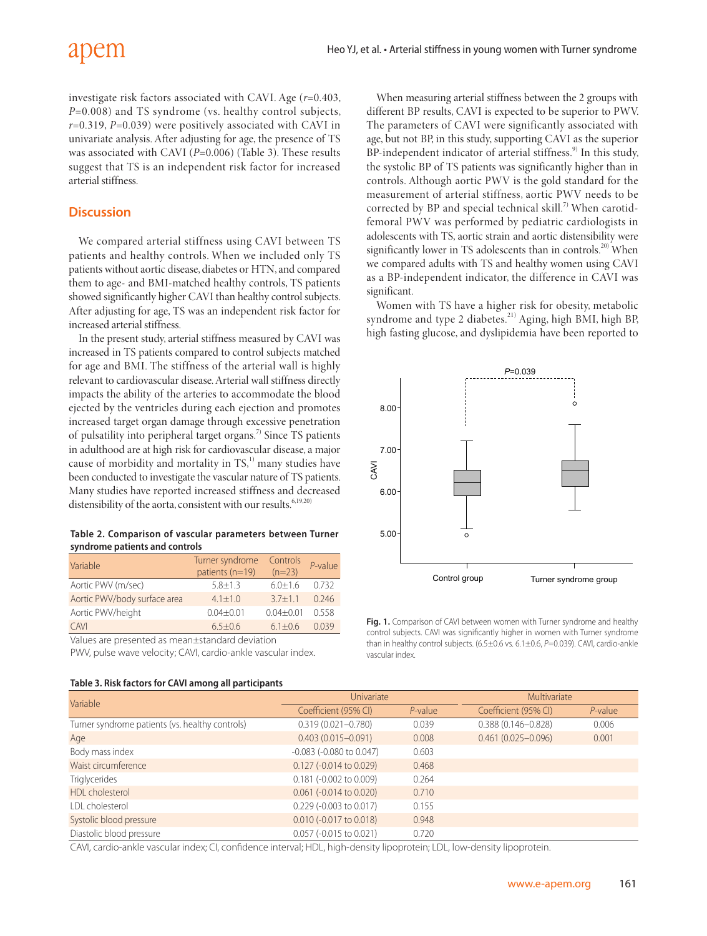investigate risk factors associated with CAVI. Age (*r*=0.403, *P*=0.008) and TS syndrome (vs. healthy control subjects, *r*=0.319, *P*=0.039) were positively associated with CAVI in univariate analysis. After adjusting for age, the presence of TS was associated with CAVI (*P*=0.006) (Table 3). These results suggest that TS is an independent risk factor for increased arterial stiffness.

#### **Discussion**

We compared arterial stiffness using CAVI between TS patients and healthy controls. When we included only TS patients without aortic disease, diabetes or HTN, and compared them to age- and BMI-matched healthy controls, TS patients showed significantly higher CAVI than healthy control subjects. After adjusting for age, TS was an independent risk factor for increased arterial stiffness.

In the present study, arterial stiffness measured by CAVI was increased in TS patients compared to control subjects matched for age and BMI. The stiffness of the arterial wall is highly relevant to cardiovascular disease. Arterial wall stiffness directly impacts the ability of the arteries to accommodate the blood ejected by the ventricles during each ejection and promotes increased target organ damage through excessive penetration of pulsatility into peripheral target organs.<sup>7)</sup> Since TS patients in adulthood are at high risk for cardiovascular disease, a major cause of morbidity and mortality in TS,<sup>1)</sup> many studies have been conducted to investigate the vascular nature of TS patients. Many studies have reported increased stiffness and decreased distensibility of the aorta, consistent with our results.<sup>6,19,20)</sup>

| Table 2. Comparison of vascular parameters between Turner |  |  |
|-----------------------------------------------------------|--|--|
| syndrome patients and controls                            |  |  |

| Variable                     | Turner syndrome<br>patients (n=19) | Controls<br>$(n=23)$ | $P$ -value |
|------------------------------|------------------------------------|----------------------|------------|
| Aortic PWV (m/sec)           | $5.8 + 1.3$                        | $6.0 + 1.6$          | 0.732      |
| Aortic PWV/body surface area | $4.1 + 1.0$                        | $3.7 + 1.1$          | 0.246      |
| Aortic PWV/height            | $0.04 + 0.01$                      | $0.04 + 0.01$        | 0.558      |
| CAVI                         | $6.5 + 0.6$                        | $6.1 + 0.6$          | 0039       |

Values are presented as mean±standard deviation

PWV, pulse wave velocity; CAVI, cardio-ankle vascular index.

#### **Table 3. Risk factors for CAVI among all participants**

When measuring arterial stiffness between the 2 groups with different BP results, CAVI is expected to be superior to PWV. The parameters of CAVI were significantly associated with age, but not BP, in this study, supporting CAVI as the superior BP-independent indicator of arterial stiffness.<sup>9)</sup> In this study, the systolic BP of TS patients was significantly higher than in controls. Although aortic PWV is the gold standard for the measurement of arterial stiffness, aortic PWV needs to be corrected by BP and special technical skill.<sup>7)</sup> When carotidfemoral PWV was performed by pediatric cardiologists in adolescents with TS, aortic strain and aortic distensibility were significantly lower in TS adolescents than in controls.<sup>20)</sup> When we compared adults with TS and healthy women using CAVI as a BP-independent indicator, the difference in CAVI was significant.

Women with TS have a higher risk for obesity, metabolic syndrome and type 2 diabetes.<sup>21)</sup> Aging, high BMI, high BP, high fasting glucose, and dyslipidemia have been reported to



**Fig. 1.** Comparison of CAVI between women with Turner syndrome and healthy control subjects. CAVI was significantly higher in women with Turner syndrome than in healthy control subjects. (6.5±0.6 vs. 6.1±0.6, P=0.039). CAVI, cardio-ankle vascular index.

| Variable                                        | Univariate                       |            | Multivariate           |            |  |  |  |
|-------------------------------------------------|----------------------------------|------------|------------------------|------------|--|--|--|
|                                                 | Coefficient (95% CI)             | $P$ -value | Coefficient (95% CI)   | $P$ -value |  |  |  |
| Turner syndrome patients (vs. healthy controls) | $0.319(0.021 - 0.780)$           | 0.039      | $0.388(0.146 - 0.828)$ | 0.006      |  |  |  |
| Age                                             | $0.403(0.015 - 0.091)$           | 0.008      | $0.461(0.025 - 0.096)$ | 0.001      |  |  |  |
| Body mass index                                 | $-0.083$ ( $-0.080$ to $0.047$ ) | 0.603      |                        |            |  |  |  |
| Waist circumference                             | 0.127 (-0.014 to 0.029)          | 0.468      |                        |            |  |  |  |
| <b>Triglycerides</b>                            | $0.181$ (-0.002 to 0.009)        | 0.264      |                        |            |  |  |  |
| HDL cholesterol                                 | $0.061$ (-0.014 to 0.020)        | 0.710      |                        |            |  |  |  |
| LDL cholesterol                                 | 0.229 (-0.003 to 0.017)          | 0.155      |                        |            |  |  |  |
| Systolic blood pressure                         | $0.010$ (-0.017 to 0.018)        | 0.948      |                        |            |  |  |  |
| Diastolic blood pressure                        | $0.057$ (-0.015 to 0.021)        | 0.720      |                        |            |  |  |  |

CAVI, cardio-ankle vascular index; CI, confidence interval; HDL, high-density lipoprotein; LDL, low-density lipoprotein.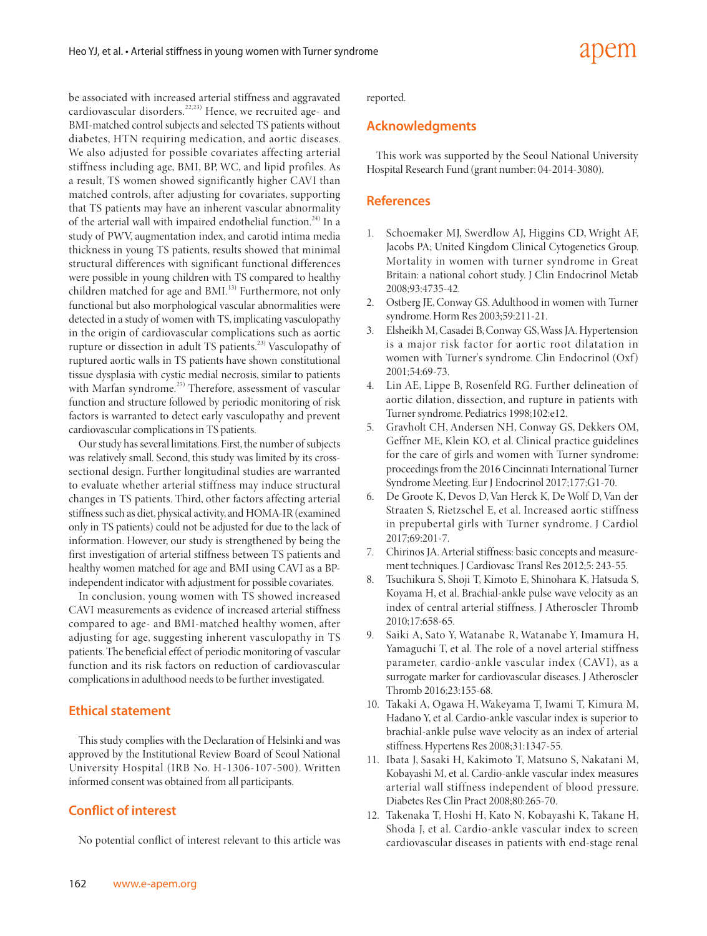be associated with increased arterial stiffness and aggravated cardiovascular disorders.<sup>22,23)</sup> Hence, we recruited age- and BMI-matched control subjects and selected TS patients without diabetes, HTN requiring medication, and aortic diseases. We also adjusted for possible covariates affecting arterial stiffness including age, BMI, BP, WC, and lipid profiles. As a result, TS women showed significantly higher CAVI than matched controls, after adjusting for covariates, supporting that TS patients may have an inherent vascular abnormality of the arterial wall with impaired endothelial function.<sup>24)</sup> In a study of PWV, augmentation index, and carotid intima media thickness in young TS patients, results showed that minimal structural differences with significant functional differences were possible in young children with TS compared to healthy children matched for age and BMI.<sup>13)</sup> Furthermore, not only functional but also morphological vascular abnormalities were detected in a study of women with TS, implicating vasculopathy in the origin of cardiovascular complications such as aortic rupture or dissection in adult TS patients.<sup>23)</sup> Vasculopathy of ruptured aortic walls in TS patients have shown constitutional tissue dysplasia with cystic medial necrosis, similar to patients with Marfan syndrome.<sup>25)</sup> Therefore, assessment of vascular function and structure followed by periodic monitoring of risk factors is warranted to detect early vasculopathy and prevent cardiovascular complications in TS patients.

Our study has several limitations. First, the number of subjects was relatively small. Second, this study was limited by its crosssectional design. Further longitudinal studies are warranted to evaluate whether arterial stiffness may induce structural changes in TS patients. Third, other factors affecting arterial stiffness such as diet, physical activity, and HOMA-IR (examined only in TS patients) could not be adjusted for due to the lack of information. However, our study is strengthened by being the first investigation of arterial stiffness between TS patients and healthy women matched for age and BMI using CAVI as a BPindependent indicator with adjustment for possible covariates.

In conclusion, young women with TS showed increased CAVI measurements as evidence of increased arterial stiffness compared to age- and BMI-matched healthy women, after adjusting for age, suggesting inherent vasculopathy in TS patients. The beneficial effect of periodic monitoring of vascular function and its risk factors on reduction of cardiovascular complications in adulthood needs to be further investigated.

#### **Ethical statement**

This study complies with the Declaration of Helsinki and was approved by the Institutional Review Board of Seoul National University Hospital (IRB No. H-1306-107-500). Written informed consent was obtained from all participants.

#### **Conflict of interest**

No potential conflict of interest relevant to this article was

reported.

#### **Acknowledgments**

This work was supported by the Seoul National University Hospital Research Fund (grant number: 04-2014-3080).

#### **References**

- 1. Schoemaker MJ, Swerdlow AJ, Higgins CD, Wright AF, Jacobs PA; United Kingdom Clinical Cytogenetics Group. Mortality in women with turner syndrome in Great Britain: a national cohort study. J Clin Endocrinol Metab 2008;93:4735-42.
- 2. Ostberg JE, Conway GS. Adulthood in women with Turner syndrome. Horm Res 2003;59:211-21.
- 3. Elsheikh M, Casadei B, Conway GS, Wass JA. Hypertension is a major risk factor for aortic root dilatation in women with Turner's syndrome. Clin Endocrinol (Oxf ) 2001;54:69-73.
- 4. Lin AE, Lippe B, Rosenfeld RG. Further delineation of aortic dilation, dissection, and rupture in patients with Turner syndrome. Pediatrics 1998;102:e12.
- 5. Gravholt CH, Andersen NH, Conway GS, Dekkers OM, Geffner ME, Klein KO, et al. Clinical practice guidelines for the care of girls and women with Turner syndrome: proceedings from the 2016 Cincinnati International Turner Syndrome Meeting. Eur J Endocrinol 2017;177:G1-70.
- 6. De Groote K, Devos D, Van Herck K, De Wolf D, Van der Straaten S, Rietzschel E, et al. Increased aortic stiffness in prepubertal girls with Turner syndrome. J Cardiol 2017;69:201-7.
- Chirinos JA. Arterial stiffness: basic concepts and measurement techniques. J Cardiovasc Transl Res 2012;5: 243-55.
- 8. Tsuchikura S, Shoji T, Kimoto E, Shinohara K, Hatsuda S, Koyama H, et al. Brachial-ankle pulse wave velocity as an index of central arterial stiffness. J Atheroscler Thromb 2010;17:658-65.
- 9. Saiki A, Sato Y, Watanabe R, Watanabe Y, Imamura H, Yamaguchi T, et al. The role of a novel arterial stiffness parameter, cardio-ankle vascular index (CAVI), as a surrogate marker for cardiovascular diseases. J Atheroscler Thromb 2016;23:155-68.
- 10. Takaki A, Ogawa H, Wakeyama T, Iwami T, Kimura M, Hadano Y, et al. Cardio-ankle vascular index is superior to brachial-ankle pulse wave velocity as an index of arterial stiffness. Hypertens Res 2008;31:1347-55.
- 11. Ibata J, Sasaki H, Kakimoto T, Matsuno S, Nakatani M, Kobayashi M, et al. Cardio-ankle vascular index measures arterial wall stiffness independent of blood pressure. Diabetes Res Clin Pract 2008;80:265-70.
- 12. Takenaka T, Hoshi H, Kato N, Kobayashi K, Takane H, Shoda J, et al. Cardio-ankle vascular index to screen cardiovascular diseases in patients with end-stage renal